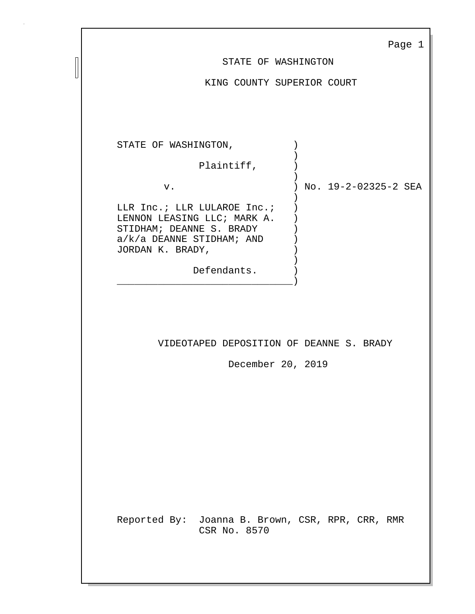|                                                                                                                                           | Page 1               |
|-------------------------------------------------------------------------------------------------------------------------------------------|----------------------|
| STATE OF WASHINGTON                                                                                                                       |                      |
| KING COUNTY SUPERIOR COURT                                                                                                                |                      |
|                                                                                                                                           |                      |
|                                                                                                                                           |                      |
| STATE OF WASHINGTON,                                                                                                                      |                      |
| Plaintiff,                                                                                                                                |                      |
| $\mathcal{E}$<br>v.                                                                                                                       | No. 19-2-02325-2 SEA |
| LLR Inc.; LLR LULAROE Inc.;<br>LENNON LEASING LLC; MARK A.<br>STIDHAM; DEANNE S. BRADY<br>$a/k/a$ DEANNE STIDHAM; AND<br>JORDAN K. BRADY, |                      |
| Defendants.                                                                                                                               |                      |
| VIDEOTAPED DEPOSITION OF DEANNE S. BRADY<br>December 20, 2019                                                                             |                      |
| Reported By: Joanna B. Brown, CSR, RPR, CRR, RMR<br>CSR No. 8570                                                                          |                      |

П  $\mathsf{u}$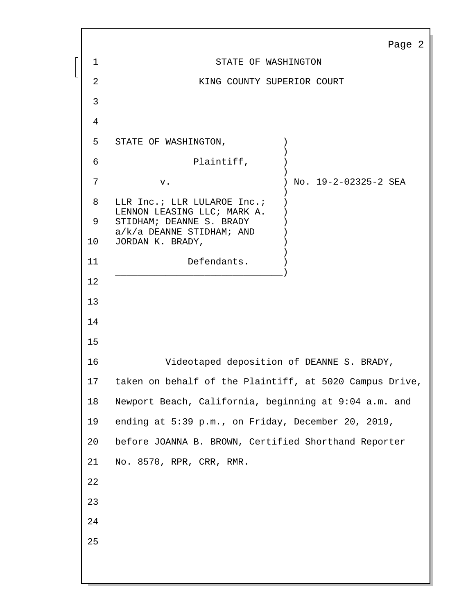|    | Page 2                                                  |  |
|----|---------------------------------------------------------|--|
| 1  | STATE OF WASHINGTON                                     |  |
| 2  | KING COUNTY SUPERIOR COURT                              |  |
| 3  |                                                         |  |
| 4  |                                                         |  |
| 5  | STATE OF WASHINGTON,                                    |  |
| 6  | Plaintiff,                                              |  |
| 7  | No. 19-2-02325-2 SEA<br>v.                              |  |
| 8  | LLR Inc.; LLR LULAROE Inc.;                             |  |
| 9  | LENNON LEASING LLC; MARK A.<br>STIDHAM; DEANNE S. BRADY |  |
| 10 | $a/k/a$ DEANNE STIDHAM; AND<br>JORDAN K. BRADY,         |  |
| 11 | Defendants.                                             |  |
| 12 |                                                         |  |
| 13 |                                                         |  |
| 14 |                                                         |  |
| 15 |                                                         |  |
| 16 | Videotaped deposition of DEANNE S. BRADY,               |  |
| 17 | taken on behalf of the Plaintiff, at 5020 Campus Drive, |  |
| 18 | Newport Beach, California, beginning at 9:04 a.m. and   |  |
| 19 | ending at 5:39 p.m., on Friday, December 20, 2019,      |  |
| 20 | before JOANNA B. BROWN, Certified Shorthand Reporter    |  |
| 21 | No. 8570, RPR, CRR, RMR.                                |  |
| 22 |                                                         |  |
| 23 |                                                         |  |
| 24 |                                                         |  |
| 25 |                                                         |  |
|    |                                                         |  |
|    |                                                         |  |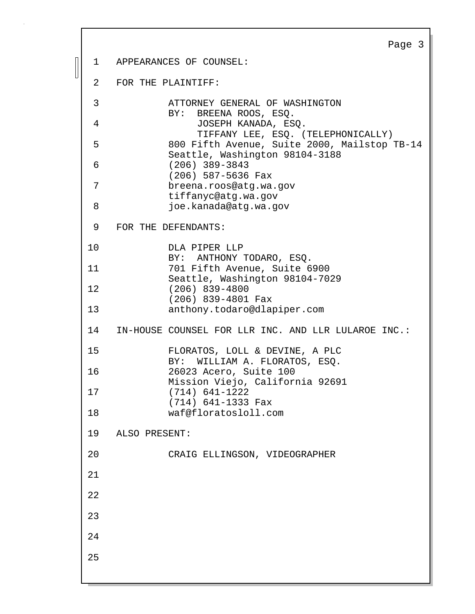Page 3 1 APPEARANCES OF COUNSEL: 2 FOR THE PLAINTIFF: 3 ATTORNEY GENERAL OF WASHINGTON BY: BREENA ROOS, ESQ. 4 JOSEPH KANADA, ESQ. TIFFANY LEE, ESQ. (TELEPHONICALLY) 5 800 Fifth Avenue, Suite 2000, Mailstop TB-14 Seattle, Washington 98104-3188 6 (206) 389-3843 (206) 587-5636 Fax 7 breena.roos@atg.wa.gov tiffanyc@atg.wa.gov 8 joe.kanada@atq.wa.qov 9 FOR THE DEFENDANTS: 10 DLA PIPER LLP BY: ANTHONY TODARO, ESQ. 11 701 Fifth Avenue, Suite 6900 Seattle, Washington 98104-7029 12 (206) 839-4800 (206) 839-4801 Fax 13 anthony.todaro@dlapiper.com 14 IN-HOUSE COUNSEL FOR LLR INC. AND LLR LULAROE INC.: 15 FLORATOS, LOLL & DEVINE, A PLC BY: WILLIAM A. FLORATOS, ESQ. 16 26023 Acero, Suite 100 Mission Viejo, California 92691 17 (714) 641-1222 (714) 641-1333 Fax 18 waf@floratosloll.com 19 ALSO PRESENT: 20 CRAIG ELLINGSON, VIDEOGRAPHER 21 22 23 24 25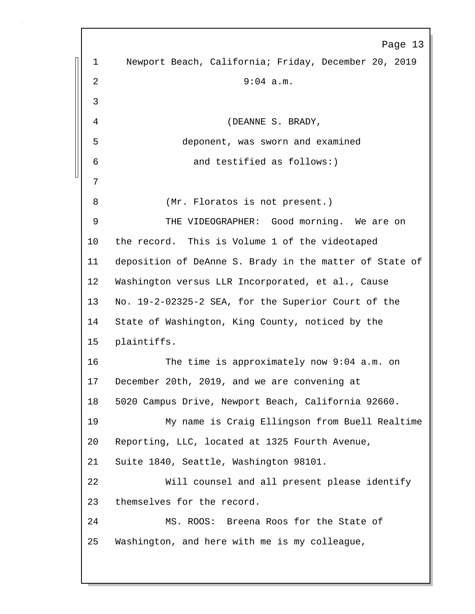Page 13 1 Newport Beach, California; Friday, December 20, 2019 2 9:04 a.m. 3 4 (DEANNE S. BRADY, 5 deponent, was sworn and examined 6 and testified as follows:) 7 8 (Mr. Floratos is not present.) 9 THE VIDEOGRAPHER: Good morning. We are on 10 the record. This is Volume 1 of the videotaped 11 deposition of DeAnne S. Brady in the matter of State of 12 Washington versus LLR Incorporated, et al., Cause 13 No. 19-2-02325-2 SEA, for the Superior Court of the 14 State of Washington, King County, noticed by the 15 plaintiffs. 16 The time is approximately now 9:04 a.m. on 17 December 20th, 2019, and we are convening at 18 5020 Campus Drive, Newport Beach, California 92660. 19 My name is Craig Ellingson from Buell Realtime 20 Reporting, LLC, located at 1325 Fourth Avenue, 21 Suite 1840, Seattle, Washington 98101. 22 Will counsel and all present please identify 23 themselves for the record. 24 MS. ROOS: Breena Roos for the State of 25 Washington, and here with me is my colleague,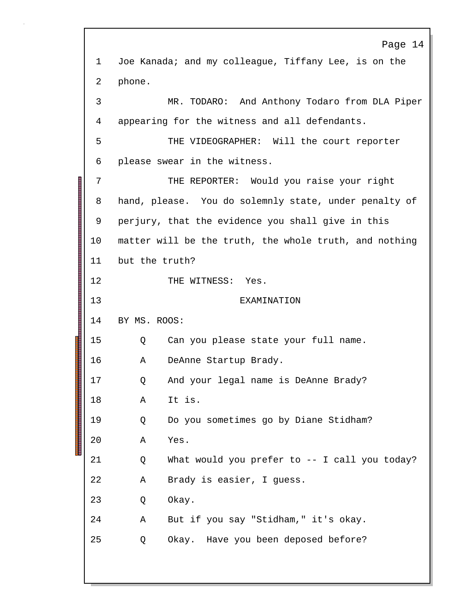Page 14 1 Joe Kanada; and my colleague, Tiffany Lee, is on the 2 phone. 3 MR. TODARO: And Anthony Todaro from DLA Piper 4 appearing for the witness and all defendants. 5 THE VIDEOGRAPHER: Will the court reporter 6 please swear in the witness. 7 THE REPORTER: Would you raise your right 8 hand, please. You do solemnly state, under penalty of 9 perjury, that the evidence you shall give in this 10 matter will be the truth, the whole truth, and nothing 11 but the truth? 12 THE WITNESS: Yes. 13 EXAMINATION 14 BY MS. ROOS: 15 Q Can you please state your full name. 16 A DeAnne Startup Brady. 17 Q And your legal name is DeAnne Brady? 18 A It is. 19 Q Do you sometimes go by Diane Stidham? 20 A Yes. 21 Q What would you prefer to -- I call you today? 22 A Brady is easier, I guess. 23 Q Okay. 24 A But if you say "Stidham," it's okay. 25 Q Okay. Have you been deposed before?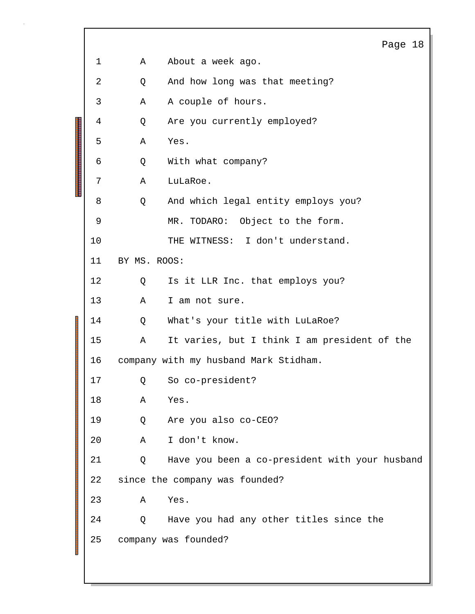|                                                  |                |                                       | Page 18                                        |  |
|--------------------------------------------------|----------------|---------------------------------------|------------------------------------------------|--|
|                                                  | $\mathbf 1$    | Α                                     | About a week ago.                              |  |
|                                                  | $\overline{2}$ | Q                                     | And how long was that meeting?                 |  |
|                                                  | 3              | Α                                     | A couple of hours.                             |  |
|                                                  | 4              | Q                                     | Are you currently employed?                    |  |
|                                                  | 5              | Α                                     | Yes.                                           |  |
|                                                  | 6              | Q                                     | With what company?                             |  |
| <u>Tan ka mahalamatan di Kabupaten Inggris d</u> | 7              | Α                                     | LuLaRoe.                                       |  |
|                                                  | 8              | Q                                     | And which legal entity employs you?            |  |
|                                                  | 9              |                                       | MR. TODARO: Object to the form.                |  |
|                                                  | 10             |                                       | THE WITNESS: I don't understand.               |  |
|                                                  | 11             | BY MS. ROOS:                          |                                                |  |
|                                                  | 12             | Q                                     | Is it LLR Inc. that employs you?               |  |
|                                                  | 13             | Α                                     | I am not sure.                                 |  |
|                                                  | 14             | Q                                     | What's your title with LuLaRoe?                |  |
| <b>THE REAL PROPERTY</b>                         | 15             | Α                                     | It varies, but I think I am president of the   |  |
|                                                  | 16             | company with my husband Mark Stidham. |                                                |  |
|                                                  | 17             | Q                                     | So co-president?                               |  |
|                                                  | 18             | Α                                     | Yes.                                           |  |
|                                                  | 19             | Q                                     | Are you also co-CEO?                           |  |
|                                                  | 20             | Α                                     | I don't know.                                  |  |
|                                                  | 21             | Q                                     | Have you been a co-president with your husband |  |
|                                                  | 22             |                                       | since the company was founded?                 |  |
|                                                  | 23             | Α                                     | Yes.                                           |  |
|                                                  | 24             | Q                                     | Have you had any other titles since the        |  |
|                                                  | 25             |                                       | company was founded?                           |  |
|                                                  |                |                                       |                                                |  |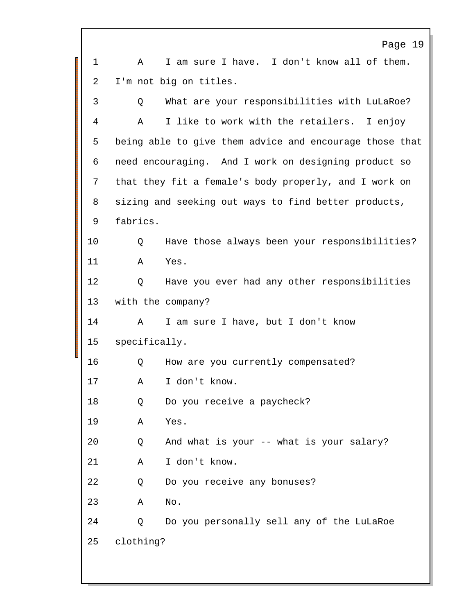Page 19 1 A I am sure I have. I don't know all of them. 2 I'm not big on titles. 3 Q What are your responsibilities with LuLaRoe? 4 A I like to work with the retailers. I enjoy 5 being able to give them advice and encourage those that 6 need encouraging. And I work on designing product so 7 that they fit a female's body properly, and I work on 8 sizing and seeking out ways to find better products, 9 fabrics. 10 Q Have those always been your responsibilities? 11 A Yes. 12 Q Have you ever had any other responsibilities 13 with the company? 14 A I am sure I have, but I don't know 15 specifically. 16 Q How are you currently compensated? 17 A I don't know. 18 Q Do you receive a paycheck? 19 A Yes. 20 Q And what is your -- what is your salary? 21 A I don't know. 22 Q Do you receive any bonuses? 23 A No. 24 Q Do you personally sell any of the LuLaRoe 25 clothing?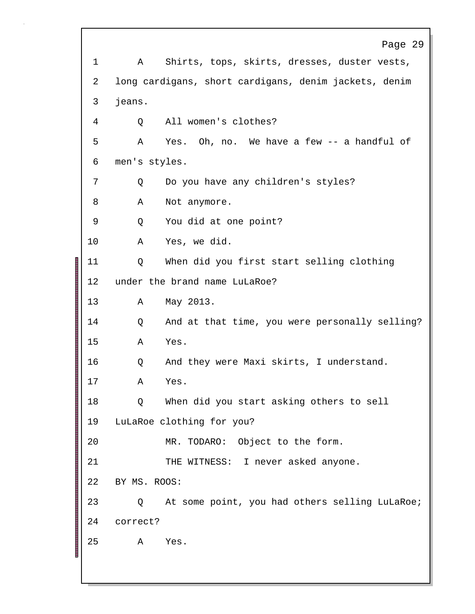Page 29 1 A Shirts, tops, skirts, dresses, duster vests, 2 long cardigans, short cardigans, denim jackets, denim 3 jeans. 4 Q All women's clothes? 5 A Yes. Oh, no. We have a few -- a handful of 6 men's styles. 7 Q Do you have any children's styles? 8 A Not anymore. 9 Q You did at one point? 10 A Yes, we did. 11 Q When did you first start selling clothing 12 under the brand name LuLaRoe? 13 A May 2013. 14 Q And at that time, you were personally selling? 15 A Yes. 16 Q And they were Maxi skirts, I understand. 17 A Yes. 18 Q When did you start asking others to sell 19 LuLaRoe clothing for you? 20 MR. TODARO: Object to the form. 21 THE WITNESS: I never asked anyone. 22 BY MS. ROOS: 23 Q At some point, you had others selling LuLaRoe; 24 correct? 25 A Yes.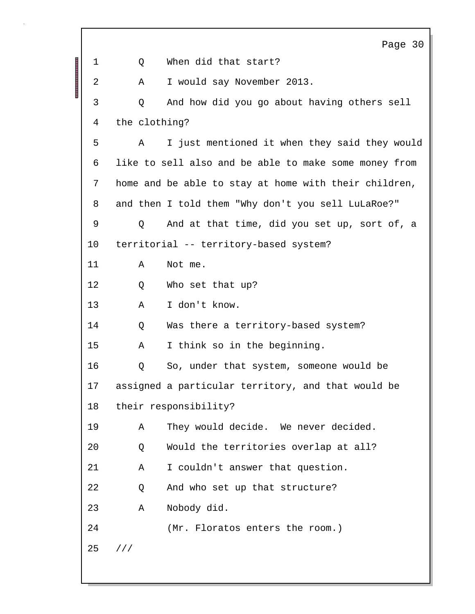|    | Page 30                                               |
|----|-------------------------------------------------------|
| 1  | When did that start?<br>Q                             |
| 2  | I would say November 2013.<br>Α                       |
| 3  | And how did you go about having others sell<br>Q      |
| 4  | the clothing?                                         |
| 5  | I just mentioned it when they said they would<br>Α    |
| 6  | like to sell also and be able to make some money from |
| 7  | home and be able to stay at home with their children, |
| 8  | and then I told them "Why don't you sell LuLaRoe?"    |
| 9  | And at that time, did you set up, sort of, a<br>Q     |
| 10 | territorial -- territory-based system?                |
| 11 | Α<br>Not me.                                          |
| 12 | Who set that up?<br>Q                                 |
| 13 | I don't know.<br>Α                                    |
| 14 | Was there a territory-based system?<br>Q              |
| 15 | I think so in the beginning.<br>Α                     |
| 16 | So, under that system, someone would be<br>Q          |
| 17 | assigned a particular territory, and that would be    |
| 18 | their responsibility?                                 |
| 19 | They would decide. We never decided.<br>Α             |
| 20 | Would the territories overlap at all?<br>Q            |
| 21 | I couldn't answer that question.<br>Α                 |
| 22 | And who set up that structure?<br>Q                   |
| 23 | Nobody did.<br>Α                                      |
| 24 | (Mr. Floratos enters the room.)                       |
| 25 | 111                                                   |
|    |                                                       |

Г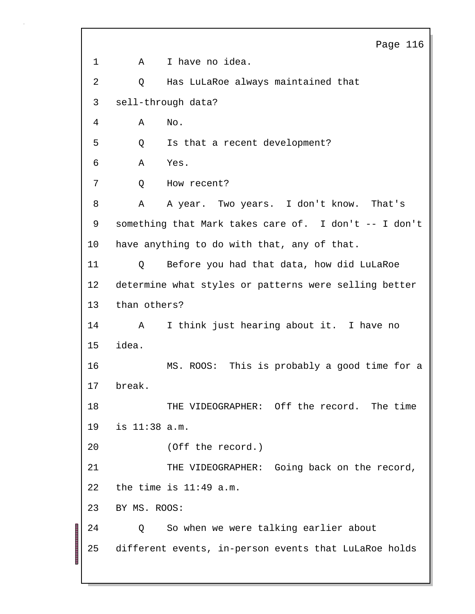Page 116 1 A I have no idea. 2 Q Has LuLaRoe always maintained that 3 sell-through data? 4 A No. 5 Q Is that a recent development? 6 A Yes. 7 Q How recent? 8 A A year. Two years. I don't know. That's 9 something that Mark takes care of. I don't -- I don't 10 have anything to do with that, any of that. 11 Q Before you had that data, how did LuLaRoe 12 determine what styles or patterns were selling better 13 than others? 14 A I think just hearing about it. I have no 15 idea. 16 MS. ROOS: This is probably a good time for a 17 break. 18 THE VIDEOGRAPHER: Off the record. The time 19 is 11:38 a.m. 20 (Off the record.) 21 THE VIDEOGRAPHER: Going back on the record, 22 the time is  $11:49$  a.m. 23 BY MS. ROOS: 24 Q So when we were talking earlier about 25 different events, in-person events that LuLaRoe holds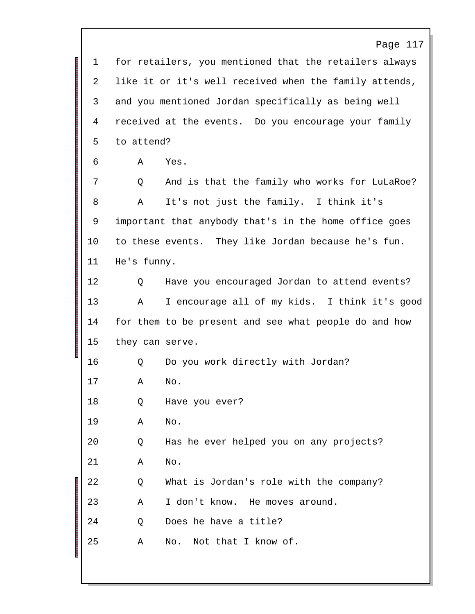|    | Page 117                                               |
|----|--------------------------------------------------------|
| 1  | for retailers, you mentioned that the retailers always |
| 2  | like it or it's well received when the family attends, |
| 3  | and you mentioned Jordan specifically as being well    |
| 4  | received at the events. Do you encourage your family   |
| 5  | to attend?                                             |
| 6  | Α<br>Yes.                                              |
| 7  | And is that the family who works for LuLaRoe?<br>Q     |
| 8  | It's not just the family. I think it's<br>Α            |
| 9  | important that anybody that's in the home office goes  |
| 10 | to these events. They like Jordan because he's fun.    |
| 11 | He's funny.                                            |
| 12 | Have you encouraged Jordan to attend events?<br>Q      |
| 13 | I encourage all of my kids. I think it's good<br>Α     |
| 14 | for them to be present and see what people do and how  |
| 15 | they can serve.                                        |
| 16 | Do you work directly with Jordan?<br>Q                 |
| 17 | Α<br>No.                                               |
| 18 | Have you ever?<br>Q                                    |
| 19 | No.<br>Α                                               |
| 20 | Has he ever helped you on any projects?<br>Q           |
| 21 | No.<br>Α                                               |
| 22 | What is Jordan's role with the company?<br>Q           |
| 23 | I don't know. He moves around.<br>Α                    |
| 24 | Does he have a title?<br>Q                             |
| 25 | Not that I know of.<br>Α<br>No.                        |
|    |                                                        |

 $\mathbf{I}$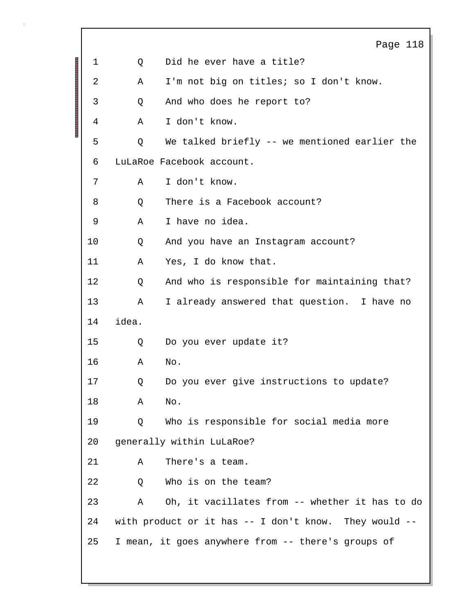|              |       | Page 118                                                |
|--------------|-------|---------------------------------------------------------|
| $\mathbf{1}$ | Q     | Did he ever have a title?                               |
| 2            | Α     | I'm not big on titles; so I don't know.                 |
| 3            | Q     | And who does he report to?                              |
| 4            | Α     | I don't know.                                           |
| 5            | Q     | We talked briefly -- we mentioned earlier the           |
| 6            |       | LuLaRoe Facebook account.                               |
| 7            | Α     | I don't know.                                           |
| 8            | Q     | There is a Facebook account?                            |
| 9            | Α     | I have no idea.                                         |
| 10           | Q     | And you have an Instagram account?                      |
| 11           | Α     | Yes, I do know that.                                    |
| 12           | Q     | And who is responsible for maintaining that?            |
| 13           | Α     | I already answered that question. I have no             |
| 14           | idea. |                                                         |
| 15           | Q     | Do you ever update it?                                  |
| 16           | Α     | No.                                                     |
| 17           |       | Q Do you ever give instructions to update?              |
| 18           | Α     | No.                                                     |
| 19           | Q     | Who is responsible for social media more                |
| 20           |       | generally within LuLaRoe?                               |
| 21           | Α     | There's a team.                                         |
| 22           | Q     | Who is on the team?                                     |
| 23           | Α     | Oh, it vacillates from -- whether it has to do          |
| 24           |       | with product or it has $-$ I don't know. They would $-$ |
| 25           |       | I mean, it goes anywhere from -- there's groups of      |
|              |       |                                                         |

Г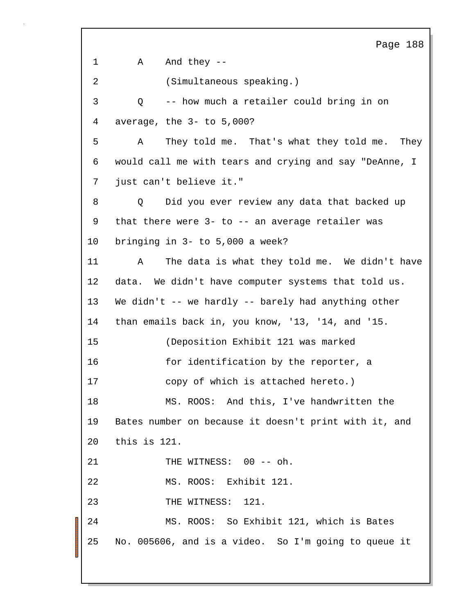Page 188 1 A And they --2 (Simultaneous speaking.) 3 Q -- how much a retailer could bring in on 4 average, the 3- to 5,000? 5 A They told me. That's what they told me. They 6 would call me with tears and crying and say "DeAnne, I 7 just can't believe it." 8 Q Did you ever review any data that backed up 9 that there were 3- to -- an average retailer was 10 bringing in 3- to 5,000 a week? 11 A The data is what they told me. We didn't have 12 data. We didn't have computer systems that told us. 13 We didn't -- we hardly -- barely had anything other 14 than emails back in, you know, '13, '14, and '15. 15 (Deposition Exhibit 121 was marked 16 for identification by the reporter, a 17 copy of which is attached hereto.) 18 MS. ROOS: And this, I've handwritten the 19 Bates number on because it doesn't print with it, and 20 this is 121. 21 THE WITNESS: 00 -- oh. 22 MS. ROOS: Exhibit 121. 23 THE WITNESS: 121. 24 MS. ROOS: So Exhibit 121, which is Bates 25 No. 005606, and is a video. So I'm going to queue it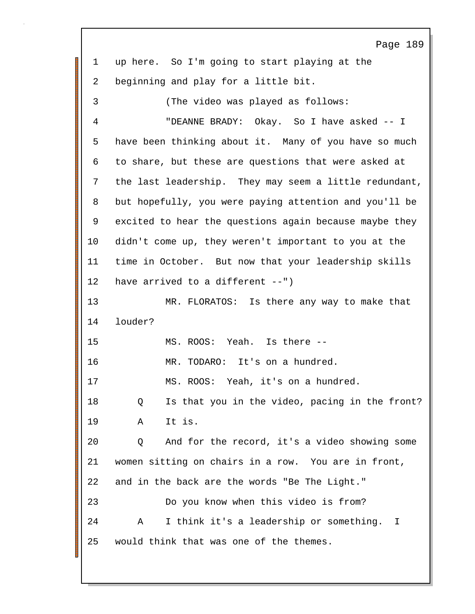Page 189 1 up here. So I'm going to start playing at the 2 beginning and play for a little bit. 3 (The video was played as follows: 4 "DEANNE BRADY: Okay. So I have asked -- I 5 have been thinking about it. Many of you have so much 6 to share, but these are questions that were asked at 7 the last leadership. They may seem a little redundant, 8 but hopefully, you were paying attention and you'll be 9 excited to hear the questions again because maybe they 10 didn't come up, they weren't important to you at the 11 time in October. But now that your leadership skills 12 have arrived to a different --") 13 MR. FLORATOS: Is there any way to make that 14 louder? 15 MS. ROOS: Yeah. Is there -- 16 MR. TODARO: It's on a hundred. 17 MS. ROOS: Yeah, it's on a hundred. 18 Q Is that you in the video, pacing in the front? 19 A It is. 20 Q And for the record, it's a video showing some 21 women sitting on chairs in a row. You are in front, 22 and in the back are the words "Be The Light." 23 Do you know when this video is from? 24 A I think it's a leadership or something. I 25 would think that was one of the themes.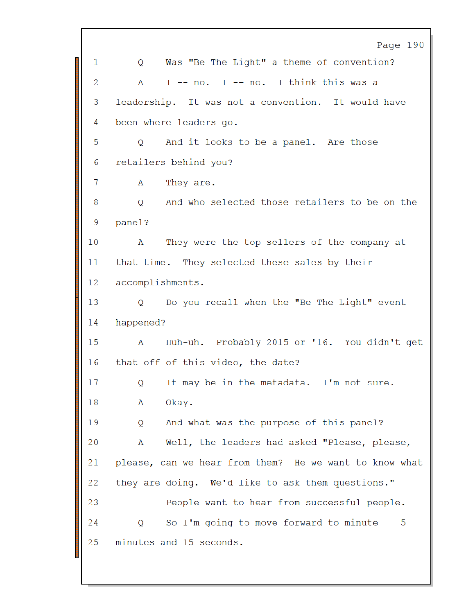Page 190 Was "Be The Light" a theme of convention? 1  $\circ$ I -- no. I -- no. I think this was a 2 A 3 leadership. It was not a convention. It would have 4 been where leaders go. 5 And it looks to be a panel. Are those  $\circ$ retailers behind you? 6 They are. 7 A And who selected those retailers to be on the 8  $\overline{O}$ 9 panel? They were the top sellers of the company at  $10$ A that time. They selected these sales by their 11  $12$ accomplishments. 13  $\overline{Q}$ Do you recall when the "Be The Light" event happened? 14 Huh-uh. Probably 2015 or '16. You didn't get 15 A that off of this video, the date? 16 It may be in the metadata. I'm not sure. 17 Q 18  $\overline{\mathbf{A}}$ Okay. 19 And what was the purpose of this panel? Q Well, the leaders had asked "Please, please, 20 A 21 please, can we hear from them? He we want to know what 22 they are doing. We'd like to ask them questions." 23 People want to hear from successful people. So I'm going to move forward to minute  $-$  5 24 Q. 25 minutes and 15 seconds.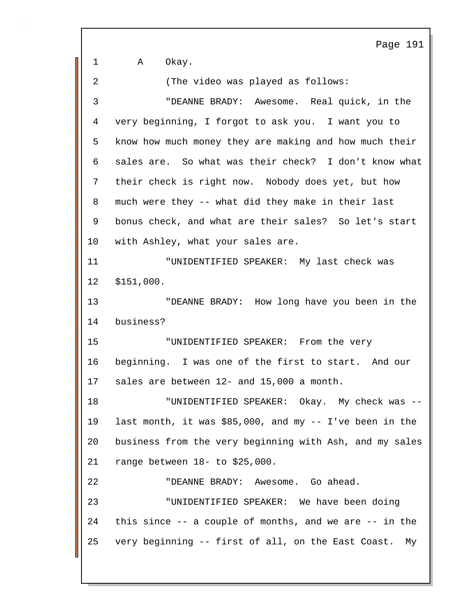Page 191 1 A Okay. 2 (The video was played as follows: 3 "DEANNE BRADY: Awesome. Real quick, in the 4 very beginning, I forgot to ask you. I want you to 5 know how much money they are making and how much their 6 sales are. So what was their check? I don't know what 7 their check is right now. Nobody does yet, but how 8 much were they -- what did they make in their last 9 bonus check, and what are their sales? So let's start 10 with Ashley, what your sales are. 11 "UNIDENTIFIED SPEAKER: My last check was 12 \$151,000. 13 "DEANNE BRADY: How long have you been in the 14 business? 15 "UNIDENTIFIED SPEAKER: From the very 16 beginning. I was one of the first to start. And our 17 sales are between 12- and 15,000 a month. 18 "UNIDENTIFIED SPEAKER: Okay. My check was -- 19 last month, it was \$85,000, and my -- I've been in the 20 business from the very beginning with Ash, and my sales 21 range between 18- to \$25,000. 22 "DEANNE BRADY: Awesome. Go ahead. 23 "UNIDENTIFIED SPEAKER: We have been doing 24 this since -- a couple of months, and we are -- in the 25 very beginning -- first of all, on the East Coast. My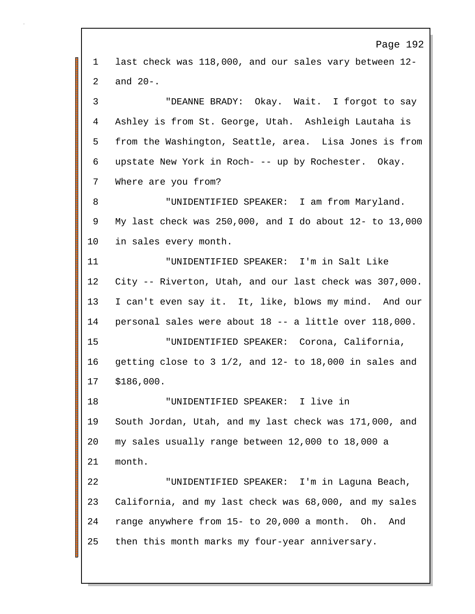Page 192 1 last check was 118,000, and our sales vary between 12- 2 and 20-. 3 "DEANNE BRADY: Okay. Wait. I forgot to say 4 Ashley is from St. George, Utah. Ashleigh Lautaha is 5 from the Washington, Seattle, area. Lisa Jones is from 6 upstate New York in Roch- -- up by Rochester. Okay. 7 Where are you from? 8 "UNIDENTIFIED SPEAKER: I am from Maryland. 9 My last check was 250,000, and I do about 12- to 13,000 10 in sales every month. 11 "UNIDENTIFIED SPEAKER: I'm in Salt Like 12 City -- Riverton, Utah, and our last check was 307,000. 13 I can't even say it. It, like, blows my mind. And our 14 personal sales were about 18 -- a little over 118,000. 15 "UNIDENTIFIED SPEAKER: Corona, California, 16 getting close to 3 1/2, and 12- to 18,000 in sales and 17 \$186,000. 18 "UNIDENTIFIED SPEAKER: I live in 19 South Jordan, Utah, and my last check was 171,000, and 20 my sales usually range between 12,000 to 18,000 a 21 month. 22 "UNIDENTIFIED SPEAKER: I'm in Laguna Beach, 23 California, and my last check was 68,000, and my sales 24 range anywhere from 15- to 20,000 a month. Oh. And 25 then this month marks my four-year anniversary.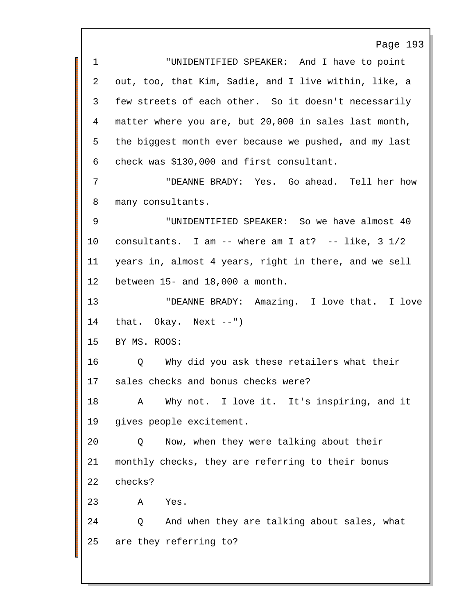Page 193 1 "UNIDENTIFIED SPEAKER: And I have to point 2 out, too, that Kim, Sadie, and I live within, like, a 3 few streets of each other. So it doesn't necessarily 4 matter where you are, but 20,000 in sales last month, 5 the biggest month ever because we pushed, and my last 6 check was \$130,000 and first consultant. 7 "DEANNE BRADY: Yes. Go ahead. Tell her how 8 many consultants. 9 "UNIDENTIFIED SPEAKER: So we have almost 40 10 consultants. I am -- where am I at? -- like, 3 1/2 11 years in, almost 4 years, right in there, and we sell 12 between 15- and 18,000 a month. 13 "DEANNE BRADY: Amazing. I love that. I love 14 that. Okay. Next --") 15 BY MS. ROOS: 16 Q Why did you ask these retailers what their 17 sales checks and bonus checks were? 18 A Why not. I love it. It's inspiring, and it 19 gives people excitement. 20 Q Now, when they were talking about their 21 monthly checks, they are referring to their bonus 22 checks? 23 A Yes. 24 Q And when they are talking about sales, what 25 are they referring to?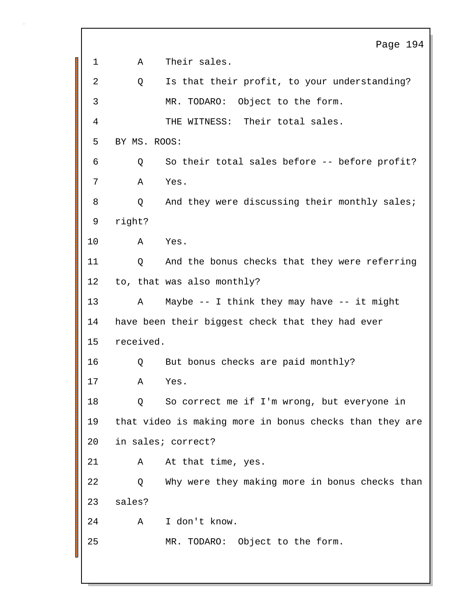|    |           | Page 194                                                |
|----|-----------|---------------------------------------------------------|
| 1  | Α         | Their sales.                                            |
| 2  | Q         | Is that their profit, to your understanding?            |
| 3  |           | MR. TODARO: Object to the form.                         |
| 4  |           | THE WITNESS: Their total sales.                         |
| 5  |           | BY MS. ROOS:                                            |
| 6  | Q         | So their total sales before -- before profit?           |
| 7  | Α         | Yes.                                                    |
| 8  |           | And they were discussing their monthly sales;<br>Q      |
| 9  | right?    |                                                         |
| 10 | A         | Yes.                                                    |
| 11 | Q         | And the bonus checks that they were referring           |
| 12 |           | to, that was also monthly?                              |
| 13 | Α         | Maybe $--$ I think they may have $--$ it might          |
| 14 |           | have been their biggest check that they had ever        |
| 15 | received. |                                                         |
| 16 | Q         | But bonus checks are paid monthly?                      |
| 17 | A         | Yes                                                     |
| 18 | Q         | So correct me if I'm wrong, but everyone in             |
| 19 |           | that video is making more in bonus checks than they are |
| 20 |           | in sales; correct?                                      |
| 21 | Α         | At that time, yes.                                      |
| 22 | Q         | Why were they making more in bonus checks than          |
| 23 | sales?    |                                                         |
| 24 | Α         | I don't know.                                           |
| 25 |           | MR. TODARO: Object to the form.                         |
|    |           |                                                         |

Г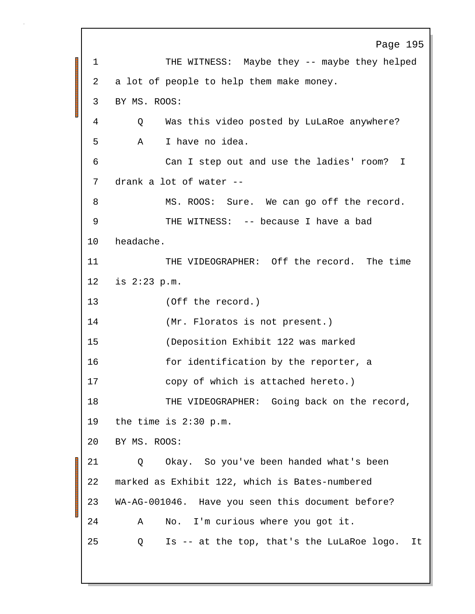Page 195 1 THE WITNESS: Maybe they -- maybe they helped 2 a lot of people to help them make money. 3 BY MS. ROOS: 4 Q Was this video posted by LuLaRoe anywhere? 5 A I have no idea. 6 Can I step out and use the ladies' room? I 7 drank a lot of water -- 8 MS. ROOS: Sure. We can go off the record. 9 THE WITNESS: -- because I have a bad 10 headache. 11 THE VIDEOGRAPHER: Off the record. The time 12 is 2:23 p.m. 13 (Off the record.) 14 (Mr. Floratos is not present.) 15 (Deposition Exhibit 122 was marked 16 for identification by the reporter, a 17 copy of which is attached hereto.) 18 THE VIDEOGRAPHER: Going back on the record, 19 the time is 2:30 p.m. 20 BY MS. ROOS: 21 Q Okay. So you've been handed what's been 22 marked as Exhibit 122, which is Bates-numbered 23 WA-AG-001046. Have you seen this document before? 24 A No. I'm curious where you got it. 25 Q Is -- at the top, that's the LuLaRoe logo. It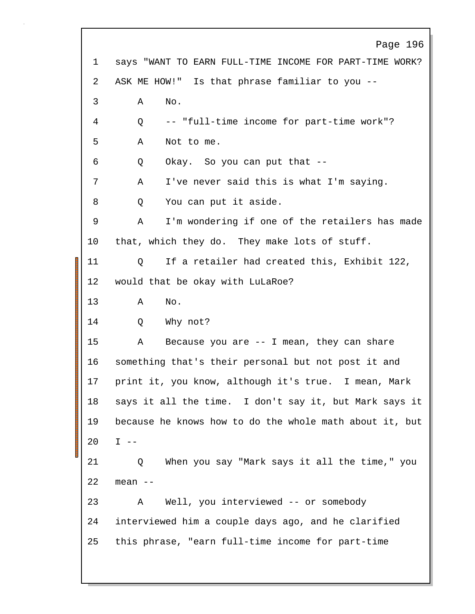Page 196 1 says "WANT TO EARN FULL-TIME INCOME FOR PART-TIME WORK? 2 ASK ME HOW!" Is that phrase familiar to you -- 3 A No. 4 Q -- "full-time income for part-time work"? 5 A Not to me. 6 Q Okay. So you can put that -- 7 A I've never said this is what I'm saying. 8 Q You can put it aside. 9 A I'm wondering if one of the retailers has made 10 that, which they do. They make lots of stuff. 11 Q If a retailer had created this, Exhibit 122, 12 would that be okay with LuLaRoe? 13 A No. 14 O Why not? 15 A Because you are -- I mean, they can share 16 something that's their personal but not post it and 17 print it, you know, although it's true. I mean, Mark 18 says it all the time. I don't say it, but Mark says it 19 because he knows how to do the whole math about it, but 20 I -- 21 Q When you say "Mark says it all the time," you 22 mean -- 23 A Well, you interviewed -- or somebody 24 interviewed him a couple days ago, and he clarified 25 this phrase, "earn full-time income for part-time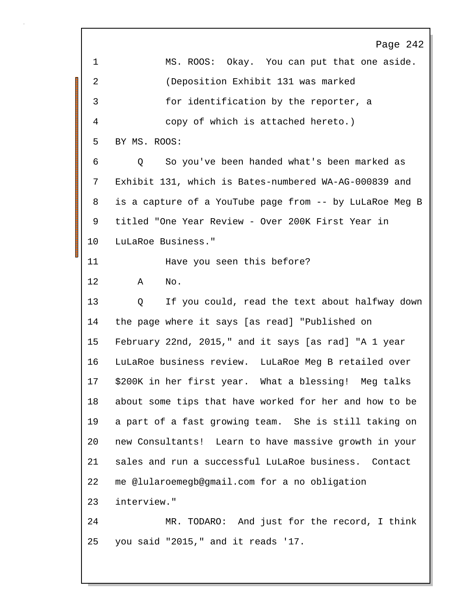Page 242 1 MS. ROOS: Okay. You can put that one aside. 2 (Deposition Exhibit 131 was marked 3 for identification by the reporter, a 4 copy of which is attached hereto.) 5 BY MS. ROOS: 6 Q So you've been handed what's been marked as 7 Exhibit 131, which is Bates-numbered WA-AG-000839 and 8 is a capture of a YouTube page from -- by LuLaRoe Meg B 9 titled "One Year Review - Over 200K First Year in 10 LuLaRoe Business." 11 **Have you seen this before?** 12 A No. 13 Q If you could, read the text about halfway down 14 the page where it says [as read] "Published on 15 February 22nd, 2015," and it says [as rad] "A 1 year 16 LuLaRoe business review. LuLaRoe Meg B retailed over 17 \$200K in her first year. What a blessing! Meg talks 18 about some tips that have worked for her and how to be 19 a part of a fast growing team. She is still taking on 20 new Consultants! Learn to have massive growth in your 21 sales and run a successful LuLaRoe business. Contact 22 me @lularoemegb@gmail.com for a no obligation 23 interview." 24 MR. TODARO: And just for the record, I think 25 you said "2015," and it reads '17.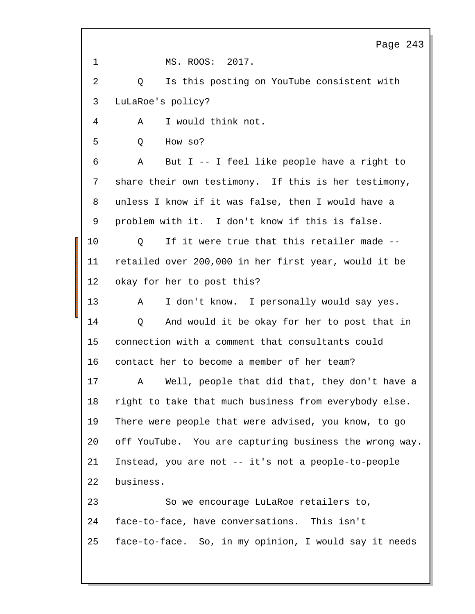Page 243 1 MS. ROOS: 2017. 2 Q Is this posting on YouTube consistent with 3 LuLaRoe's policy? 4 A I would think not. 5 Q How so? 6 A But I -- I feel like people have a right to 7 share their own testimony. If this is her testimony, 8 unless I know if it was false, then I would have a 9 problem with it. I don't know if this is false. 10 0 If it were true that this retailer made --11 retailed over 200,000 in her first year, would it be 12 okay for her to post this? 13 A I don't know. I personally would say yes. 14 Q And would it be okay for her to post that in 15 connection with a comment that consultants could 16 contact her to become a member of her team? 17 A Well, people that did that, they don't have a 18 right to take that much business from everybody else. 19 There were people that were advised, you know, to go 20 off YouTube. You are capturing business the wrong way. 21 Instead, you are not -- it's not a people-to-people 22 business. 23 So we encourage LuLaRoe retailers to, 24 face-to-face, have conversations. This isn't 25 face-to-face. So, in my opinion, I would say it needs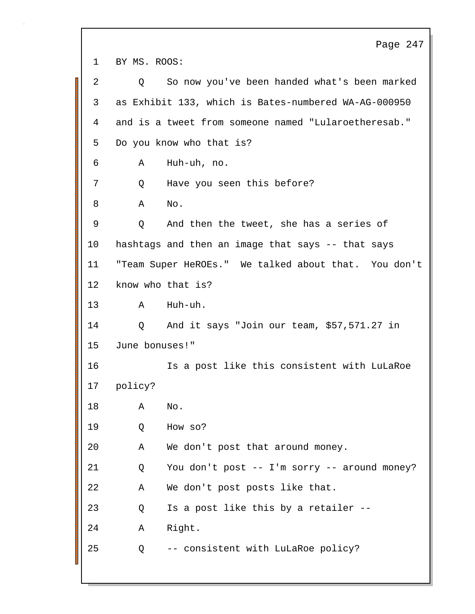Page 247 1 BY MS. ROOS: 2 Q So now you've been handed what's been marked 3 as Exhibit 133, which is Bates-numbered WA-AG-000950 4 and is a tweet from someone named "Lularoetheresab." 5 Do you know who that is? 6 A Huh-uh, no. 7 Q Have you seen this before? 8 A No. 9 Q And then the tweet, she has a series of 10 hashtags and then an image that says -- that says 11 "Team Super HeROEs." We talked about that. You don't 12 know who that is? 13 A Huh-uh. 14 Q And it says "Join our team, \$57,571.27 in 15 June bonuses!" 16 Is a post like this consistent with LuLaRoe 17 policy? 18 A No. 19 Q How so? 20 A We don't post that around money. 21 Q You don't post -- I'm sorry -- around money? 22 A We don't post posts like that. 23 Q Is a post like this by a retailer -- 24 A Right. 25 Q -- consistent with LuLaRoe policy?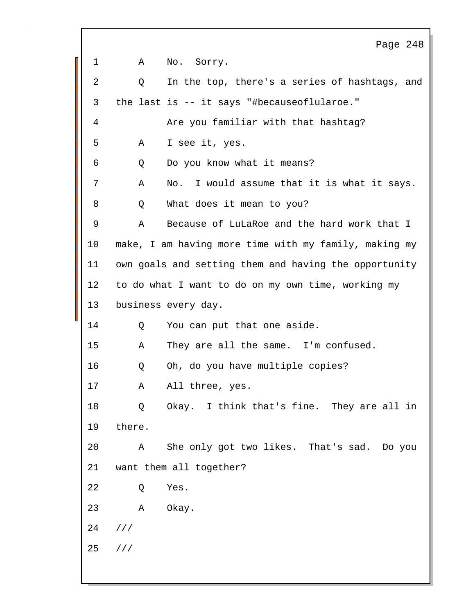Page 248 1 A No. Sorry. 2 Q In the top, there's a series of hashtags, and 3 the last is -- it says "#becauseoflularoe." 4 Are you familiar with that hashtag? 5 A I see it, yes. 6 Q Do you know what it means? 7 A No. I would assume that it is what it says. 8 Q What does it mean to you? 9 A Because of LuLaRoe and the hard work that I 10 make, I am having more time with my family, making my 11 own goals and setting them and having the opportunity 12 to do what I want to do on my own time, working my 13 business every day. 14 Q You can put that one aside. 15 A They are all the same. I'm confused. 16 Q Oh, do you have multiple copies? 17 A All three, yes. 18 Q Okay. I think that's fine. They are all in 19 there. 20 A She only got two likes. That's sad. Do you 21 want them all together? 22 Q Yes. 23 A Okay. 24 /// 25 ///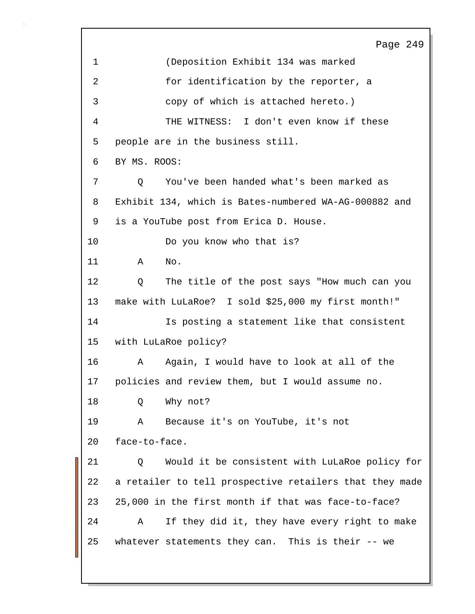Page 249 1 (Deposition Exhibit 134 was marked 2 for identification by the reporter, a 3 copy of which is attached hereto.) 4 THE WITNESS: I don't even know if these 5 people are in the business still. 6 BY MS. ROOS: 7 Q You've been handed what's been marked as 8 Exhibit 134, which is Bates-numbered WA-AG-000882 and 9 is a YouTube post from Erica D. House. 10 Do you know who that is? 11 A No. 12 Q The title of the post says "How much can you 13 make with LuLaRoe? I sold \$25,000 my first month!" 14 Is posting a statement like that consistent 15 with LuLaRoe policy? 16 A Again, I would have to look at all of the 17 policies and review them, but I would assume no. 18 O Why not? 19 A Because it's on YouTube, it's not 20 face-to-face. 21 Q Would it be consistent with LuLaRoe policy for 22 a retailer to tell prospective retailers that they made 23 25,000 in the first month if that was face-to-face? 24 A If they did it, they have every right to make 25 whatever statements they can. This is their -- we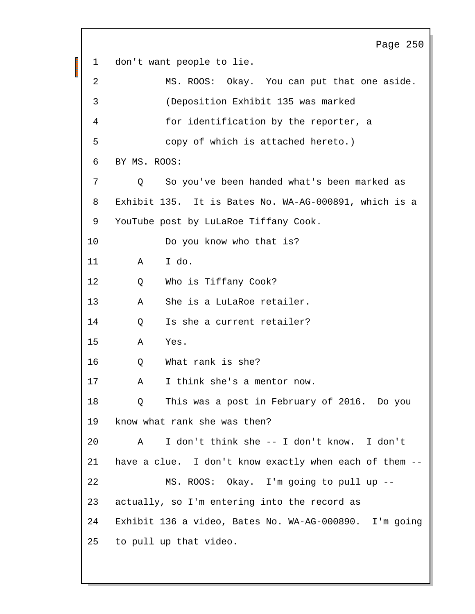Page 250 1 don't want people to lie. 2 MS. ROOS: Okay. You can put that one aside. 3 (Deposition Exhibit 135 was marked 4 for identification by the reporter, a 5 copy of which is attached hereto.) 6 BY MS. ROOS: 7 Q So you've been handed what's been marked as 8 Exhibit 135. It is Bates No. WA-AG-000891, which is a 9 YouTube post by LuLaRoe Tiffany Cook. 10 Do you know who that is? 11 A I do. 12 Q Who is Tiffany Cook? 13 A She is a LuLaRoe retailer. 14 0 Is she a current retailer? 15 A Yes. 16 0 What rank is she? 17 A I think she's a mentor now. 18 Q This was a post in February of 2016. Do you 19 know what rank she was then? 20 A I don't think she -- I don't know. I don't 21 have a clue. I don't know exactly when each of them -- 22 MS. ROOS: Okay. I'm going to pull up -- 23 actually, so I'm entering into the record as 24 Exhibit 136 a video, Bates No. WA-AG-000890. I'm going 25 to pull up that video.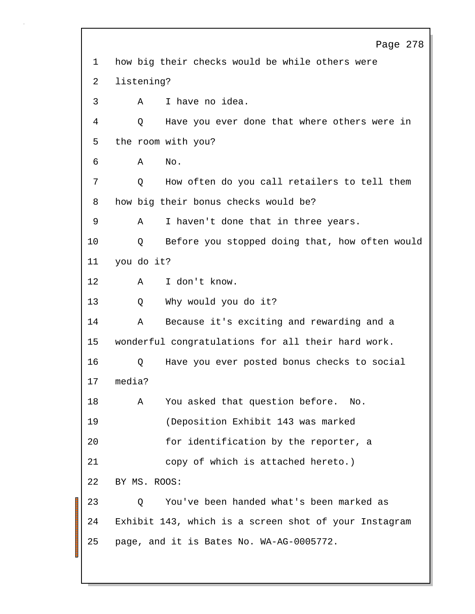Page 278 1 how big their checks would be while others were 2 listening? 3 A I have no idea. 4 Q Have you ever done that where others were in 5 the room with you? 6 A No. 7 Q How often do you call retailers to tell them 8 how big their bonus checks would be? 9 A I haven't done that in three years. 10 Q Before you stopped doing that, how often would 11 you do it? 12 A I don't know. 13 Q Why would you do it? 14 A Because it's exciting and rewarding and a 15 wonderful congratulations for all their hard work. 16 Q Have you ever posted bonus checks to social 17 media? 18 A You asked that question before. No. 19 (Deposition Exhibit 143 was marked 20 for identification by the reporter, a 21 copy of which is attached hereto.) 22 BY MS. ROOS: 23 Q You've been handed what's been marked as 24 Exhibit 143, which is a screen shot of your Instagram 25 page, and it is Bates No. WA-AG-0005772.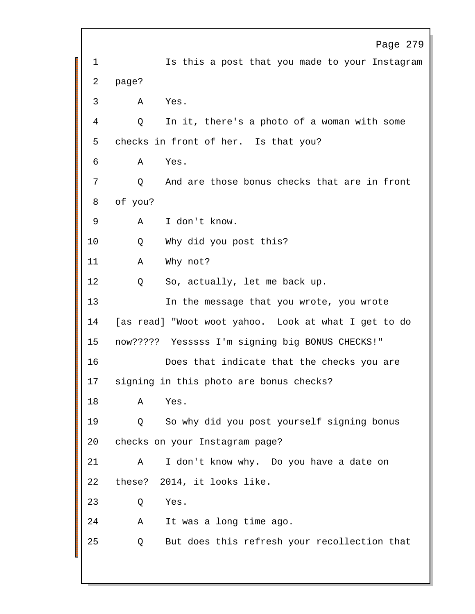Page 279 1 Is this a post that you made to your Instagram 2 page? 3 A Yes. 4 Q In it, there's a photo of a woman with some 5 checks in front of her. Is that you? 6 A Yes. 7 Q And are those bonus checks that are in front 8 of you? 9 A I don't know. 10 Q Why did you post this? 11 A Why not? 12 Q So, actually, let me back up. 13 In the message that you wrote, you wrote 14 [as read] "Woot woot yahoo. Look at what I get to do 15 now????? Yesssss I'm signing big BONUS CHECKS!" 16 Does that indicate that the checks you are 17 signing in this photo are bonus checks? 18 A Yes. 19 Q So why did you post yourself signing bonus 20 checks on your Instagram page? 21 A I don't know why. Do you have a date on 22 these? 2014, it looks like. 23 Q Yes. 24 A It was a long time ago. 25 Q But does this refresh your recollection that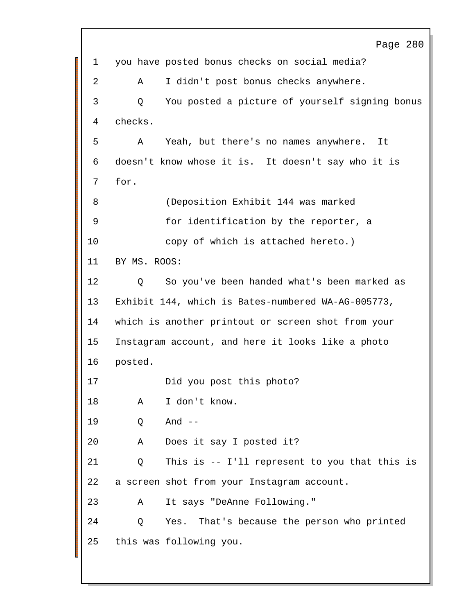Page 280 1 you have posted bonus checks on social media? 2 A I didn't post bonus checks anywhere. 3 Q You posted a picture of yourself signing bonus 4 checks. 5 A Yeah, but there's no names anywhere. It 6 doesn't know whose it is. It doesn't say who it is 7 for. 8 (Deposition Exhibit 144 was marked 9 for identification by the reporter, a 10 copy of which is attached hereto.) 11 BY MS. ROOS: 12 Q So you've been handed what's been marked as 13 Exhibit 144, which is Bates-numbered WA-AG-005773, 14 which is another printout or screen shot from your 15 Instagram account, and here it looks like a photo 16 posted. 17 Did you post this photo? 18 A I don't know. 19 Q And -- 20 A Does it say I posted it? 21 Q This is -- I'll represent to you that this is 22 a screen shot from your Instagram account. 23 A It says "DeAnne Following." 24 Q Yes. That's because the person who printed 25 this was following you.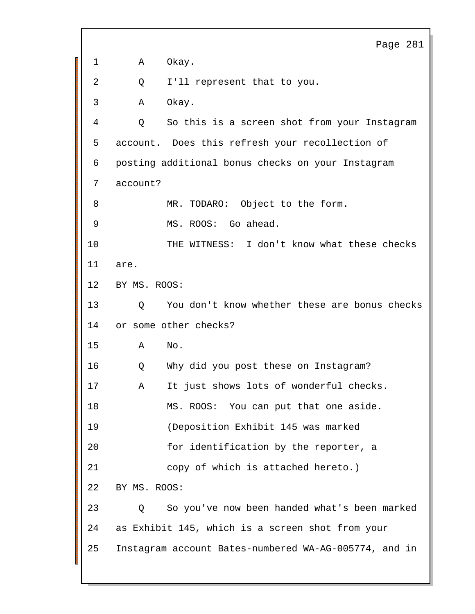Page 281 1 A Okay. 2 Q I'll represent that to you. 3 A Okay. 4 Q So this is a screen shot from your Instagram 5 account. Does this refresh your recollection of 6 posting additional bonus checks on your Instagram 7 account? 8 MR. TODARO: Object to the form. 9 MS. ROOS: Go ahead. 10 THE WITNESS: I don't know what these checks 11 are. 12 BY MS. ROOS: 13 Q You don't know whether these are bonus checks 14 or some other checks? 15 A No. 16 Q Why did you post these on Instagram? 17 A It just shows lots of wonderful checks. 18 MS. ROOS: You can put that one aside. 19 (Deposition Exhibit 145 was marked 20 for identification by the reporter, a 21 copy of which is attached hereto.) 22 BY MS. ROOS: 23 Q So you've now been handed what's been marked 24 as Exhibit 145, which is a screen shot from your 25 Instagram account Bates-numbered WA-AG-005774, and in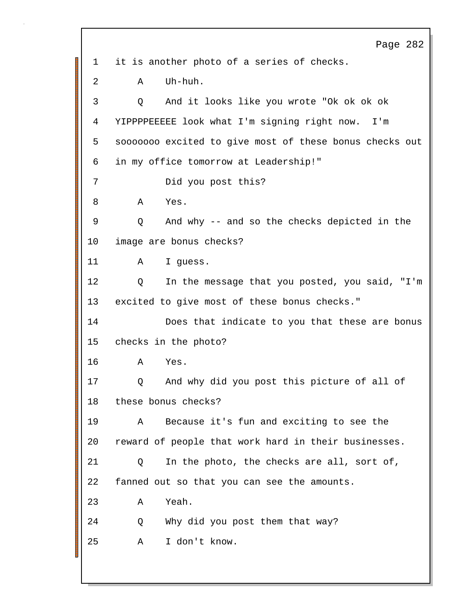Page 282 1 it is another photo of a series of checks. 2 A Uh-huh. 3 Q And it looks like you wrote "Ok ok ok ok 4 YIPPPPEEEEE look what I'm signing right now. I'm 5 sooooooo excited to give most of these bonus checks out 6 in my office tomorrow at Leadership!" 7 Did you post this? 8 A Yes. 9 Q And why -- and so the checks depicted in the 10 image are bonus checks? 11 A I guess. 12 Q In the message that you posted, you said, "I'm 13 excited to give most of these bonus checks." 14 Does that indicate to you that these are bonus 15 checks in the photo? 16 A Yes. 17 Q And why did you post this picture of all of 18 these bonus checks? 19 A Because it's fun and exciting to see the 20 reward of people that work hard in their businesses. 21 Q In the photo, the checks are all, sort of, 22 fanned out so that you can see the amounts. 23 A Yeah. 24 Q Why did you post them that way? 25 A I don't know.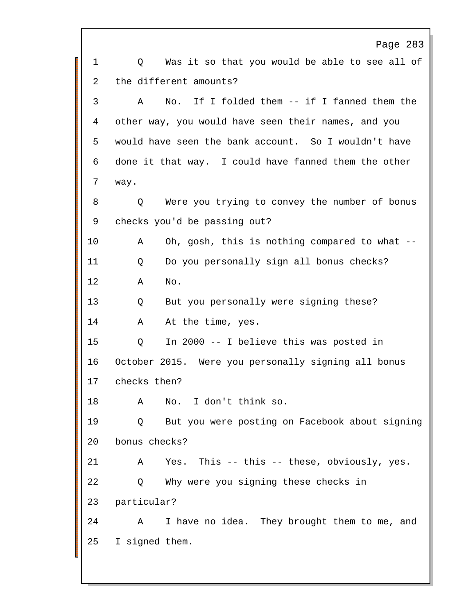Page 283 1 O Was it so that you would be able to see all of 2 the different amounts? 3 A No. If I folded them -- if I fanned them the 4 other way, you would have seen their names, and you 5 would have seen the bank account. So I wouldn't have 6 done it that way. I could have fanned them the other 7 way. 8 Q Were you trying to convey the number of bonus 9 checks you'd be passing out? 10 A Oh, gosh, this is nothing compared to what -- 11 Q Do you personally sign all bonus checks? 12 A No. 13 Q But you personally were signing these? 14 A At the time, yes. 15 Q In 2000 -- I believe this was posted in 16 October 2015. Were you personally signing all bonus 17 checks then? 18 A No. I don't think so. 19 Q But you were posting on Facebook about signing 20 bonus checks? 21 A Yes. This -- this -- these, obviously, yes. 22 Q Why were you signing these checks in 23 particular? 24 A I have no idea. They brought them to me, and 25 I signed them.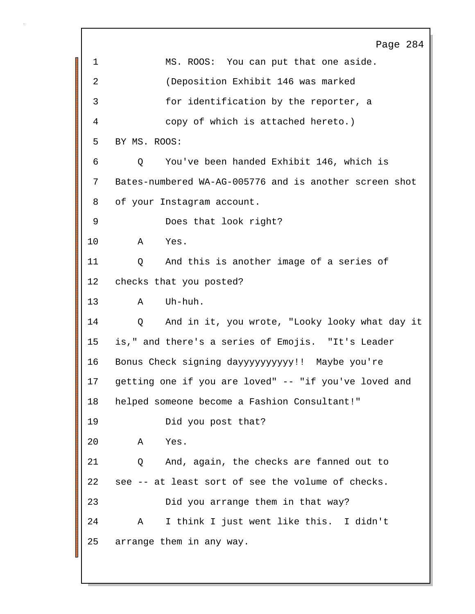Page 284 1 MS. ROOS: You can put that one aside. 2 (Deposition Exhibit 146 was marked 3 for identification by the reporter, a 4 copy of which is attached hereto.) 5 BY MS. ROOS: 6 Q You've been handed Exhibit 146, which is 7 Bates-numbered WA-AG-005776 and is another screen shot 8 of your Instagram account. 9 Does that look right? 10 A Yes. 11 Q And this is another image of a series of 12 checks that you posted? 13 A Uh-huh. 14 Q And in it, you wrote, "Looky looky what day it 15 is," and there's a series of Emojis. "It's Leader 16 Bonus Check signing dayyyyyyyyyy!! Maybe you're 17 getting one if you are loved" -- "if you've loved and 18 helped someone become a Fashion Consultant!" 19 Did you post that? 20 A Yes. 21 Q And, again, the checks are fanned out to 22 see -- at least sort of see the volume of checks. 23 Did you arrange them in that way? 24 A I think I just went like this. I didn't 25 arrange them in any way.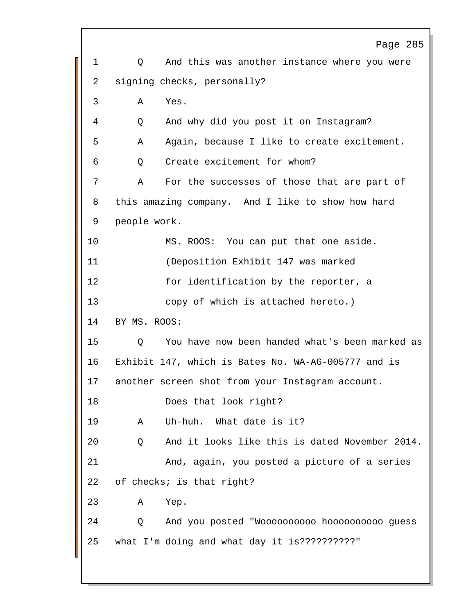Page 285 1 O And this was another instance where you were 2 signing checks, personally? 3 A Yes. 4 Q And why did you post it on Instagram? 5 A Again, because I like to create excitement. 6 Q Create excitement for whom? 7 A For the successes of those that are part of 8 this amazing company. And I like to show how hard 9 people work. 10 MS. ROOS: You can put that one aside. 11 (Deposition Exhibit 147 was marked 12 for identification by the reporter, a 13 copy of which is attached hereto.) 14 BY MS. ROOS: 15 Q You have now been handed what's been marked as 16 Exhibit 147, which is Bates No. WA-AG-005777 and is 17 another screen shot from your Instagram account. 18 Does that look right? 19 A Uh-huh. What date is it? 20 Q And it looks like this is dated November 2014. 21 And, again, you posted a picture of a series 22 of checks; is that right? 23 A Yep. 24 Q And you posted "Woooooooooo hoooooooooo guess 25 what I'm doing and what day it is??????????"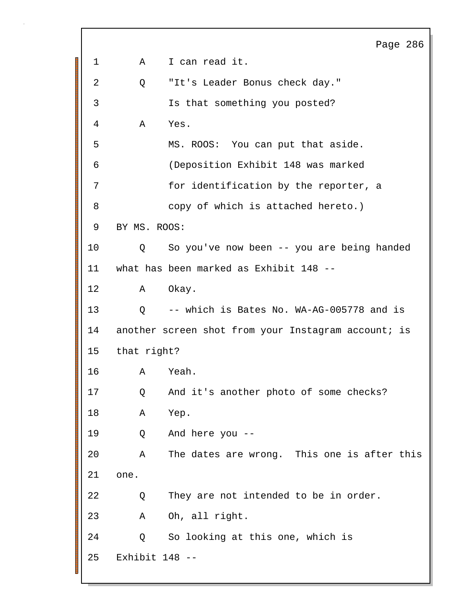Page 286 1 A I can read it. 2 Q "It's Leader Bonus check day." 3 Is that something you posted? 4 A Yes. 5 MS. ROOS: You can put that aside. 6 (Deposition Exhibit 148 was marked 7 for identification by the reporter, a 8 copy of which is attached hereto.) 9 BY MS. ROOS: 10 Q So you've now been -- you are being handed 11 what has been marked as Exhibit 148 -- 12 A Okay. 13 Q -- which is Bates No. WA-AG-005778 and is 14 another screen shot from your Instagram account; is 15 that right? 16 A Yeah. 17 Q And it's another photo of some checks? 18 A Yep. 19 Q And here you -- 20 A The dates are wrong. This one is after this 21 one. 22 Q They are not intended to be in order. 23 A Oh, all right. 24 Q So looking at this one, which is 25 Exhibit 148 --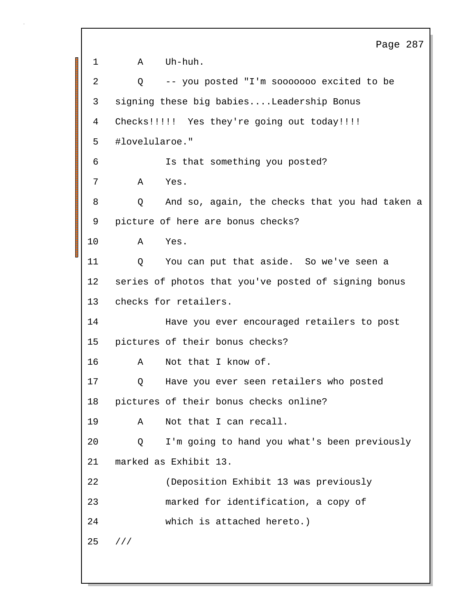```
Page 287
1 A Uh-huh.
2 Q -- you posted "I'm sooooooo excited to be
3 signing these big babies....Leadership Bonus
4 Checks!!!!! Yes they're going out today!!!!
5 #lovelularoe."
6 Is that something you posted?
7 A Yes.
8 Q And so, again, the checks that you had taken a
9 picture of here are bonus checks?
10 A Yes.
11 Q You can put that aside. So we've seen a
12 series of photos that you've posted of signing bonus
13 checks for retailers.
14 Have you ever encouraged retailers to post
15 pictures of their bonus checks?
16 A Not that I know of.
17 Q Have you ever seen retailers who posted
18 pictures of their bonus checks online?
19 A Not that I can recall.
20 Q I'm going to hand you what's been previously
21 marked as Exhibit 13.
22 (Deposition Exhibit 13 was previously
23 marked for identification, a copy of
24 which is attached hereto.)
25 ///
```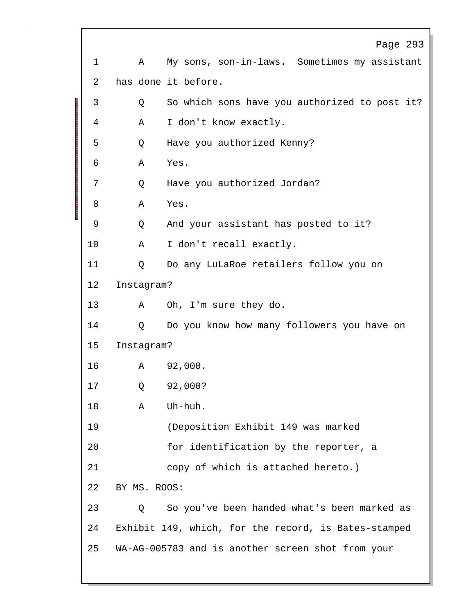|             |              | Page 293                                             |
|-------------|--------------|------------------------------------------------------|
| $\mathbf 1$ | A            | My sons, son-in-laws. Sometimes my assistant         |
| 2           |              | has done it before.                                  |
| 3           | Q            | So which sons have you authorized to post it?        |
| 4           | Α            | I don't know exactly.                                |
| 5           | Q            | Have you authorized Kenny?                           |
| 6           | Α            | Yes.                                                 |
| 7           | Q            | Have you authorized Jordan?                          |
| 8           | Α            | Yes.                                                 |
| 9           | Q            | And your assistant has posted to it?                 |
| 10          | Α            | I don't recall exactly.                              |
| 11          | Q            | Do any LuLaRoe retailers follow you on               |
| 12          | Instagram?   |                                                      |
| 13          | A            | Oh, I'm sure they do.                                |
| 14          | Q            | Do you know how many followers you have on           |
| 15          | Instagram?   |                                                      |
| 16          |              | A 92,000.                                            |
| 17          | Q            | 92,000?                                              |
| 18          | Α            | Uh-huh.                                              |
| 19          |              | (Deposition Exhibit 149 was marked                   |
| 20          |              | for identification by the reporter, a                |
| 21          |              | copy of which is attached hereto.)                   |
| 22          | BY MS. ROOS: |                                                      |
| 23          | Q            | So you've been handed what's been marked as          |
| 24          |              | Exhibit 149, which, for the record, is Bates-stamped |
| 25          |              | WA-AG-005783 and is another screen shot from your    |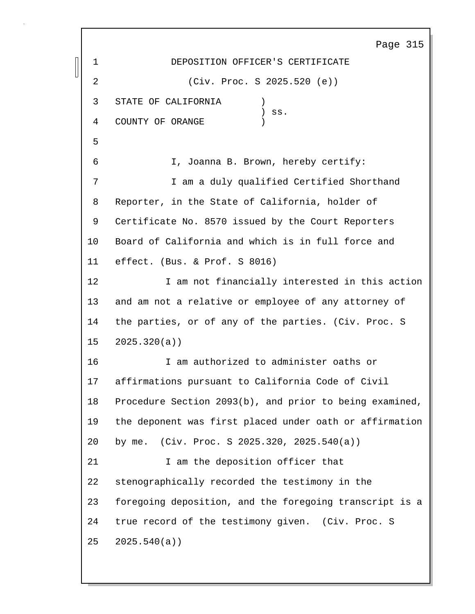Page 315 1 DEPOSITION OFFICER'S CERTIFICATE 2 (Civ. Proc. S 2025.520 (e)) 3 STATE OF CALIFORNIA )  $)$  ss. 4 COUNTY OF ORANGE 5 6 I, Joanna B. Brown, hereby certify: 7 I am a duly qualified Certified Shorthand 8 Reporter, in the State of California, holder of 9 Certificate No. 8570 issued by the Court Reporters 10 Board of California and which is in full force and 11 effect. (Bus. & Prof. S 8016) 12 I am not financially interested in this action 13 and am not a relative or employee of any attorney of 14 the parties, or of any of the parties. (Civ. Proc. S 15 2025.320(a)) 16 I am authorized to administer oaths or 17 affirmations pursuant to California Code of Civil 18 Procedure Section 2093(b), and prior to being examined, 19 the deponent was first placed under oath or affirmation 20 by me. (Civ. Proc. S 2025.320, 2025.540(a)) 21 1 am the deposition officer that 22 stenographically recorded the testimony in the 23 foregoing deposition, and the foregoing transcript is a 24 true record of the testimony given. (Civ. Proc. S 25 2025.540(a))